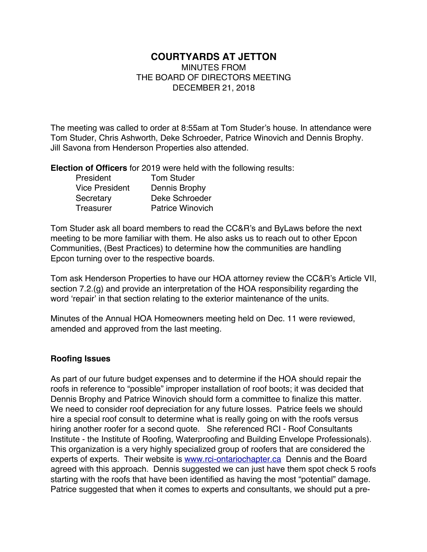# **COURTYARDS AT JETTON**

MINUTES FROM THE BOARD OF DIRECTORS MEETING DECEMBER 21, 2018

The meeting was called to order at 8:55am at Tom Studer's house. In attendance were Tom Studer, Chris Ashworth, Deke Schroeder, Patrice Winovich and Dennis Brophy. Jill Savona from Henderson Properties also attended.

**Election of Officers** for 2019 were held with the following results:

| President             | <b>Tom Studer</b>       |
|-----------------------|-------------------------|
| <b>Vice President</b> | Dennis Brophy           |
| Secretary             | Deke Schroeder          |
| Treasurer             | <b>Patrice Winovich</b> |

Tom Studer ask all board members to read the CC&R's and ByLaws before the next meeting to be more familiar with them. He also asks us to reach out to other Epcon Communities, (Best Practices) to determine how the communities are handling Epcon turning over to the respective boards.

Tom ask Henderson Properties to have our HOA attorney review the CC&R's Article VII, section 7.2.(g) and provide an interpretation of the HOA responsibility regarding the word 'repair' in that section relating to the exterior maintenance of the units.

Minutes of the Annual HOA Homeowners meeting held on Dec. 11 were reviewed, amended and approved from the last meeting.

### **Roofing Issues**

As part of our future budget expenses and to determine if the HOA should repair the roofs in reference to "possible" improper installation of roof boots; it was decided that Dennis Brophy and Patrice Winovich should form a committee to finalize this matter. We need to consider roof depreciation for any future losses. Patrice feels we should hire a special roof consult to determine what is really going on with the roofs versus hiring another roofer for a second quote. She referenced RCI - Roof Consultants Institute - the Institute of Roofing, Waterproofing and Building Envelope Professionals). This organization is a very highly specialized group of roofers that are considered the experts of experts. Their website is www.rci-ontariochapter.ca Dennis and the Board agreed with this approach. Dennis suggested we can just have them spot check 5 roofs starting with the roofs that have been identified as having the most "potential" damage. Patrice suggested that when it comes to experts and consultants, we should put a pre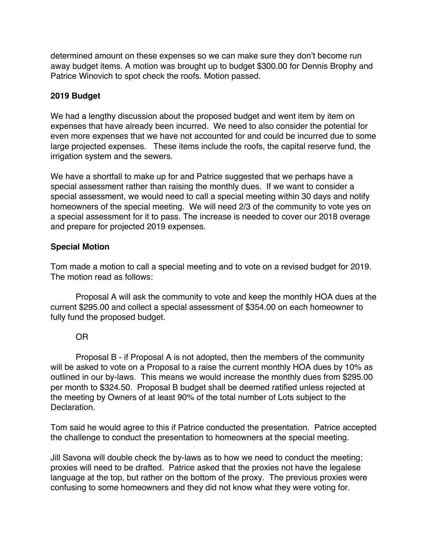determined amount on these expenses so we can make sure they don't become run away budget items. A motion was brought up to budget \$300.00 for Dennis Brophy and Patrice Winovich to spot check the roofs. Motion passed.

# **2019 Budget**

We had a lengthy discussion about the proposed budget and went item by item on expenses that have already been incurred. We need to also consider the potential for even more expenses that we have not accounted for and could be incurred due to some large projected expenses. These items include the roofs, the capital reserve fund, the irrigation system and the sewers.

We have a shortfall to make up for and Patrice suggested that we perhaps have a special assessment rather than raising the monthly dues. If we want to consider a special assessment, we would need to call a special meeting within 30 days and notify homeowners of the special meeting. We will need 2/3 of the community to vote yes on a special assessment for it to pass. The increase is needed to cover our 2018 overage and prepare for projected 2019 expenses.

# **Special Motion**

Tom made a motion to call a special meeting and to vote on a revised budget for 2019. The motion read as follows:

Proposal A will ask the community to vote and keep the monthly HOA dues at the current \$295.00 and collect a special assessment of \$354.00 on each homeowner to fully fund the proposed budget.

### OR

Proposal B - if Proposal A is not adopted, then the members of the community will be asked to vote on a Proposal to a raise the current monthly HOA dues by 10% as outlined in our by-laws. This means we would increase the monthly dues from \$295.00 per month to \$324.50. Proposal B budget shall be deemed ratified unless rejected at the meeting by Owners of at least 90% of the total number of Lots subject to the Declaration.

Tom said he would agree to this if Patrice conducted the presentation. Patrice accepted the challenge to conduct the presentation to homeowners at the special meeting.

Jill Savona will double check the by-laws as to how we need to conduct the meeting; proxies will need to be drafted. Patrice asked that the proxies not have the legalese language at the top, but rather on the bottom of the proxy. The previous proxies were confusing to some homeowners and they did not know what they were voting for.